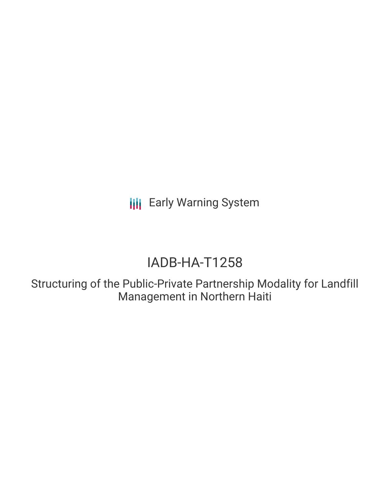**III** Early Warning System

# IADB-HA-T1258

Structuring of the Public-Private Partnership Modality for Landfill Management in Northern Haiti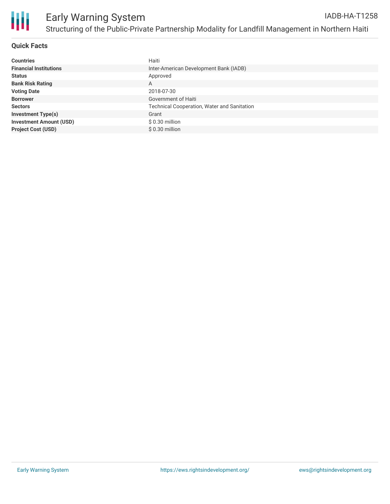

## **Quick Facts**

| <b>Countries</b>               | Haiti                                              |
|--------------------------------|----------------------------------------------------|
| <b>Financial Institutions</b>  | Inter-American Development Bank (IADB)             |
| <b>Status</b>                  | Approved                                           |
| <b>Bank Risk Rating</b>        | A                                                  |
| <b>Voting Date</b>             | 2018-07-30                                         |
| <b>Borrower</b>                | Government of Haiti                                |
| <b>Sectors</b>                 | <b>Technical Cooperation, Water and Sanitation</b> |
| <b>Investment Type(s)</b>      | Grant                                              |
| <b>Investment Amount (USD)</b> | \$0.30 million                                     |
| <b>Project Cost (USD)</b>      | $$0.30$ million                                    |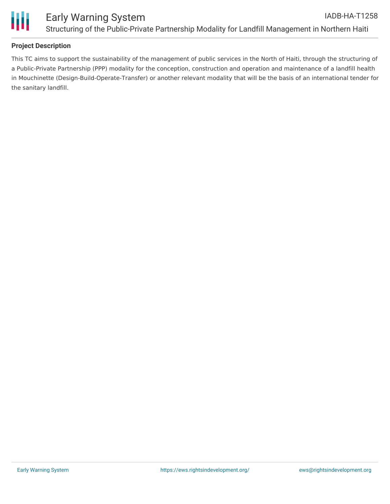

# **Project Description**

This TC aims to support the sustainability of the management of public services in the North of Haiti, through the structuring of a Public-Private Partnership (PPP) modality for the conception, construction and operation and maintenance of a landfill health in Mouchinette (Design-Build-Operate-Transfer) or another relevant modality that will be the basis of an international tender for the sanitary landfill.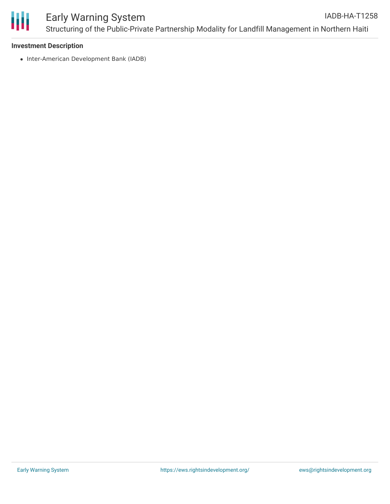

## **Investment Description**

• Inter-American Development Bank (IADB)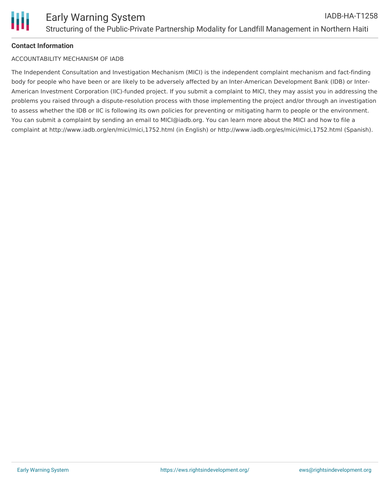

# **Contact Information**

## ACCOUNTABILITY MECHANISM OF IADB

The Independent Consultation and Investigation Mechanism (MICI) is the independent complaint mechanism and fact-finding body for people who have been or are likely to be adversely affected by an Inter-American Development Bank (IDB) or Inter-American Investment Corporation (IIC)-funded project. If you submit a complaint to MICI, they may assist you in addressing the problems you raised through a dispute-resolution process with those implementing the project and/or through an investigation to assess whether the IDB or IIC is following its own policies for preventing or mitigating harm to people or the environment. You can submit a complaint by sending an email to MICI@iadb.org. You can learn more about the MICI and how to file a complaint at http://www.iadb.org/en/mici/mici,1752.html (in English) or http://www.iadb.org/es/mici/mici,1752.html (Spanish).